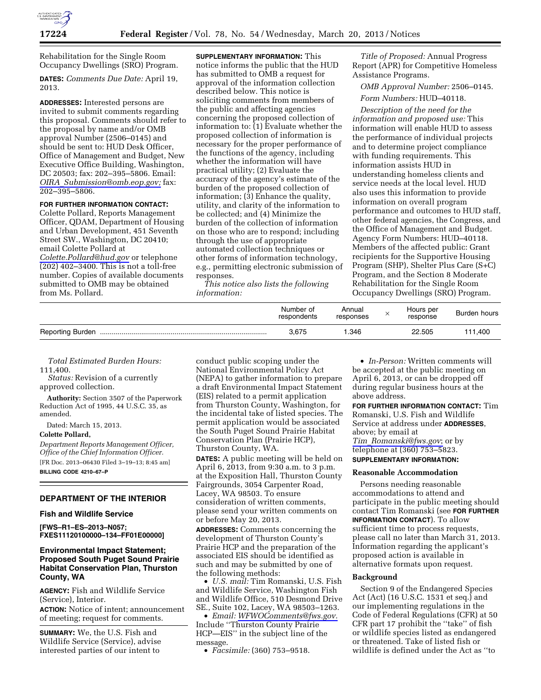

Rehabilitation for the Single Room Occupancy Dwellings (SRO) Program.

**DATES:** *Comments Due Date:* April 19, 2013.

**ADDRESSES:** Interested persons are invited to submit comments regarding this proposal. Comments should refer to the proposal by name and/or OMB approval Number (2506–0145) and should be sent to: HUD Desk Officer, Office of Management and Budget, New Executive Office Building, Washington, DC 20503; fax: 202–395–5806. Email: *OIRA*\_*[Submission@omb.eop.gov;](mailto:OIRA_Submission@omb.eop.gov)* fax: 202–395–5806.

## **FOR FURTHER INFORMATION CONTACT:**

Colette Pollard, Reports Management Officer, QDAM, Department of Housing and Urban Development, 451 Seventh Street SW., Washington, DC 20410; email Colette Pollard at *[Colette.Pollard@hud.gov](mailto:Colette.Pollard@hud.gov)* or telephone  $(202)$  402–3400. This is not a toll-free number. Copies of available documents submitted to OMB may be obtained from Ms. Pollard.

**SUPPLEMENTARY INFORMATION:** This notice informs the public that the HUD has submitted to OMB a request for approval of the information collection described below. This notice is soliciting comments from members of the public and affecting agencies concerning the proposed collection of information to: (1) Evaluate whether the proposed collection of information is necessary for the proper performance of the functions of the agency, including whether the information will have practical utility; (2) Evaluate the accuracy of the agency's estimate of the burden of the proposed collection of information; (3) Enhance the quality, utility, and clarity of the information to be collected; and (4) Minimize the burden of the collection of information on those who are to respond; including through the use of appropriate automated collection techniques or other forms of information technology, e.g., permitting electronic submission of responses.

*This notice also lists the following information:* 

*Title of Proposed:* Annual Progress Report (APR) for Competitive Homeless Assistance Programs.

*OMB Approval Number:* 2506–0145. *Form Numbers:* HUD–40118.

*Description of the need for the information and proposed use:* This information will enable HUD to assess the performance of individual projects and to determine project compliance with funding requirements. This information assists HUD in understanding homeless clients and service needs at the local level. HUD also uses this information to provide information on overall program performance and outcomes to HUD staff, other federal agencies, the Congress, and the Office of Management and Budget. Agency Form Numbers: HUD–40118. Members of the affected public: Grant recipients for the Supportive Housing Program (SHP), Shelter Plus Care (S+C) Program, and the Section 8 Moderate Rehabilitation for the Single Room Occupancy Dwellings (SRO) Program.

| Number of<br>respondents | Annual<br>responses | Hours per<br>response | Burden hours |
|--------------------------|---------------------|-----------------------|--------------|
| 3,675                    | 346. ا              | 22.505                | 111.400      |

*Total Estimated Burden Hours:*  111,400.

*Status:* Revision of a currently approved collection.

**Authority:** Section 3507 of the Paperwork Reduction Act of 1995, 44 U.S.C. 35, as amended.

Dated: March 15, 2013.

#### **Colette Pollard,**

*Department Reports Management Officer, Office of the Chief Information Officer.* 

[FR Doc. 2013–06430 Filed 3–19–13; 8:45 am] **BILLING CODE 4210–67–P** 

# **DEPARTMENT OF THE INTERIOR**

# **Fish and Wildlife Service**

**[FWS–R1–ES–2013–N057; FXES11120100000–134–FF01E00000]** 

# **Environmental Impact Statement; Proposed South Puget Sound Prairie Habitat Conservation Plan, Thurston County, WA**

**AGENCY:** Fish and Wildlife Service (Service), Interior. **ACTION:** Notice of intent; announcement of meeting; request for comments.

**SUMMARY:** We, the U.S. Fish and Wildlife Service (Service), advise interested parties of our intent to

conduct public scoping under the National Environmental Policy Act (NEPA) to gather information to prepare a draft Environmental Impact Statement (EIS) related to a permit application from Thurston County, Washington, for the incidental take of listed species. The permit application would be associated the South Puget Sound Prairie Habitat Conservation Plan (Prairie HCP), Thurston County, WA.

**DATES:** A public meeting will be held on April 6, 2013, from 9:30 a.m. to 3 p.m. at the Exposition Hall, Thurston County Fairgrounds, 3054 Carpenter Road, Lacey, WA 98503. To ensure consideration of written comments, please send your written comments on or before May 20, 2013.

**ADDRESSES:** Comments concerning the development of Thurston County's Prairie HCP and the preparation of the associated EIS should be identified as such and may be submitted by one of the following methods:

• *U.S. mail:* Tim Romanski, U.S. Fish and Wildlife Service, Washington Fish and Wildlife Office, 510 Desmond Drive SE., Suite 102, Lacey, WA 98503–1263.

• *Email: [WFWOComments@fws.gov.](mailto:WFWOComments@fws.gov)*  Include ''Thurston County Prairie HCP—EIS'' in the subject line of the message.

• *Facsimile:* (360) 753–9518.

• *In-Person:* Written comments will be accepted at the public meeting on April 6, 2013, or can be dropped off during regular business hours at the above address.

**FOR FURTHER INFORMATION CONTACT:** Tim Romanski, U.S. Fish and Wildlife Service at address under **ADDRESSES**, above; by email at *Tim*\_*[Romanski@fws.gov](mailto:Tim_Romanski@fws.gov)*; or by telephone at (360) 753–5823. **SUPPLEMENTARY INFORMATION:** 

# **Reasonable Accommodation**

Persons needing reasonable accommodations to attend and participate in the public meeting should contact Tim Romanski (see **FOR FURTHER INFORMATION CONTACT**). To allow sufficient time to process requests, please call no later than March 31, 2013. Information regarding the applicant's proposed action is available in alternative formats upon request.

## **Background**

Section 9 of the Endangered Species Act (Act) (16 U.S.C. 1531 et seq.) and our implementing regulations in the Code of Federal Regulations (CFR) at 50 CFR part 17 prohibit the ''take'' of fish or wildlife species listed as endangered or threatened. Take of listed fish or wildlife is defined under the Act as ''to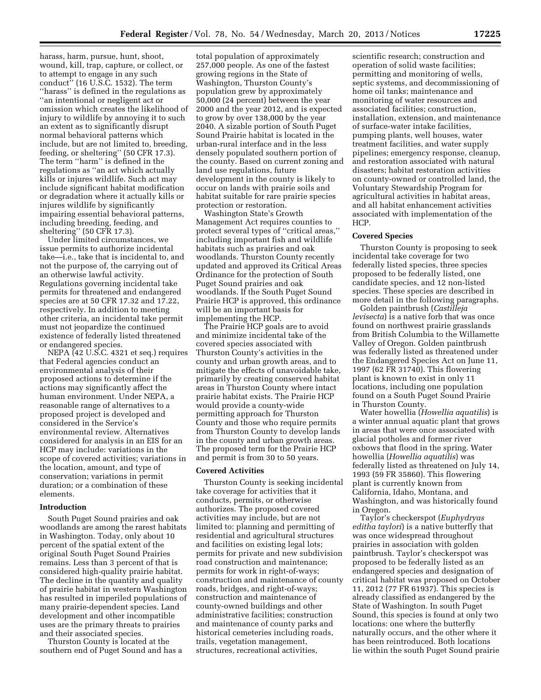harass, harm, pursue, hunt, shoot, wound, kill, trap, capture, or collect, or to attempt to engage in any such conduct'' (16 U.S.C. 1532). The term "harass" is defined in the regulations as ''an intentional or negligent act or omission which creates the likelihood of injury to wildlife by annoying it to such an extent as to significantly disrupt normal behavioral patterns which include, but are not limited to, breeding, feeding, or sheltering'' (50 CFR 17.3). The term ''harm'' is defined in the regulations as ''an act which actually kills or injures wildlife. Such act may include significant habitat modification or degradation where it actually kills or injures wildlife by significantly impairing essential behavioral patterns, including breeding, feeding, and sheltering'' (50 CFR 17.3).

Under limited circumstances, we issue permits to authorize incidental take—i.e., take that is incidental to, and not the purpose of, the carrying out of an otherwise lawful activity. Regulations governing incidental take permits for threatened and endangered species are at 50 CFR 17.32 and 17.22, respectively. In addition to meeting other criteria, an incidental take permit must not jeopardize the continued existence of federally listed threatened or endangered species.

NEPA (42 U.S.C. 4321 et seq.) requires that Federal agencies conduct an environmental analysis of their proposed actions to determine if the actions may significantly affect the human environment. Under NEPA, a reasonable range of alternatives to a proposed project is developed and considered in the Service's environmental review. Alternatives considered for analysis in an EIS for an HCP may include: variations in the scope of covered activities; variations in the location, amount, and type of conservation; variations in permit duration; or a combination of these elements.

#### **Introduction**

South Puget Sound prairies and oak woodlands are among the rarest habitats in Washington. Today, only about 10 percent of the spatial extent of the original South Puget Sound Prairies remains. Less than 3 percent of that is considered high-quality prairie habitat. The decline in the quantity and quality of prairie habitat in western Washington has resulted in imperiled populations of many prairie-dependent species. Land development and other incompatible uses are the primary threats to prairies and their associated species.

Thurston County is located at the southern end of Puget Sound and has a

total population of approximately 257,000 people. As one of the fastest growing regions in the State of Washington, Thurston County's population grew by approximately 50,000 (24 percent) between the year 2000 and the year 2012, and is expected to grow by over 138,000 by the year 2040. A sizable portion of South Puget Sound Prairie habitat is located in the urban-rural interface and in the less densely populated southern portion of the county. Based on current zoning and land use regulations, future development in the county is likely to occur on lands with prairie soils and habitat suitable for rare prairie species protection or restoration.

Washington State's Growth Management Act requires counties to protect several types of ''critical areas,'' including important fish and wildlife habitats such as prairies and oak woodlands. Thurston County recently updated and approved its Critical Areas Ordinance for the protection of South Puget Sound prairies and oak woodlands. If the South Puget Sound Prairie HCP is approved, this ordinance will be an important basis for implementing the HCP.

The Prairie HCP goals are to avoid and minimize incidental take of the covered species associated with Thurston County's activities in the county and urban growth areas, and to mitigate the effects of unavoidable take, primarily by creating conserved habitat areas in Thurston County where intact prairie habitat exists. The Prairie HCP would provide a county-wide permitting approach for Thurston County and those who require permits from Thurston County to develop lands in the county and urban growth areas. The proposed term for the Prairie HCP and permit is from 30 to 50 years.

## **Covered Activities**

Thurston County is seeking incidental take coverage for activities that it conducts, permits, or otherwise authorizes. The proposed covered activities may include, but are not limited to: planning and permitting of residential and agricultural structures and facilities on existing legal lots; permits for private and new subdivision road construction and maintenance; permits for work in right-of-ways; construction and maintenance of county roads, bridges, and right-of-ways; construction and maintenance of county-owned buildings and other administrative facilities; construction and maintenance of county parks and historical cemeteries including roads, trails, vegetation management, structures, recreational activities,

scientific research; construction and operation of solid waste facilities; permitting and monitoring of wells, septic systems, and decommissioning of home oil tanks; maintenance and monitoring of water resources and associated facilities; construction, installation, extension, and maintenance of surface-water intake facilities, pumping plants, well houses, water treatment facilities, and water supply pipelines; emergency response, cleanup, and restoration associated with natural disasters; habitat restoration activities on county-owned or controlled land, the Voluntary Stewardship Program for agricultural activities in habitat areas, and all habitat enhancement activities associated with implementation of the HCP.

### **Covered Species**

Thurston County is proposing to seek incidental take coverage for two federally listed species, three species proposed to be federally listed, one candidate species, and 12 non-listed species. These species are described in more detail in the following paragraphs.

Golden paintbrush (*Castilleja levisecta*) is a native forb that was once found on northwest prairie grasslands from British Columbia to the Willamette Valley of Oregon. Golden paintbrush was federally listed as threatened under the Endangered Species Act on June 11, 1997 (62 FR 31740). This flowering plant is known to exist in only 11 locations, including one population found on a South Puget Sound Prairie in Thurston County.

Water howellia (*Howellia aquatilis*) is a winter annual aquatic plant that grows in areas that were once associated with glacial potholes and former river oxbows that flood in the spring. Water howellia (*Howellia aquatilis*) was federally listed as threatened on July 14, 1993 (59 FR 35860). This flowering plant is currently known from California, Idaho, Montana, and Washington, and was historically found in Oregon.

Taylor's checkerspot (*Euphydryas editha taylori*) is a native butterfly that was once widespread throughout prairies in association with golden paintbrush. Taylor's checkerspot was proposed to be federally listed as an endangered species and designation of critical habitat was proposed on October 11, 2012 (77 FR 61937). This species is already classified as endangered by the State of Washington. In south Puget Sound, this species is found at only two locations: one where the butterfly naturally occurs, and the other where it has been reintroduced. Both locations lie within the south Puget Sound prairie